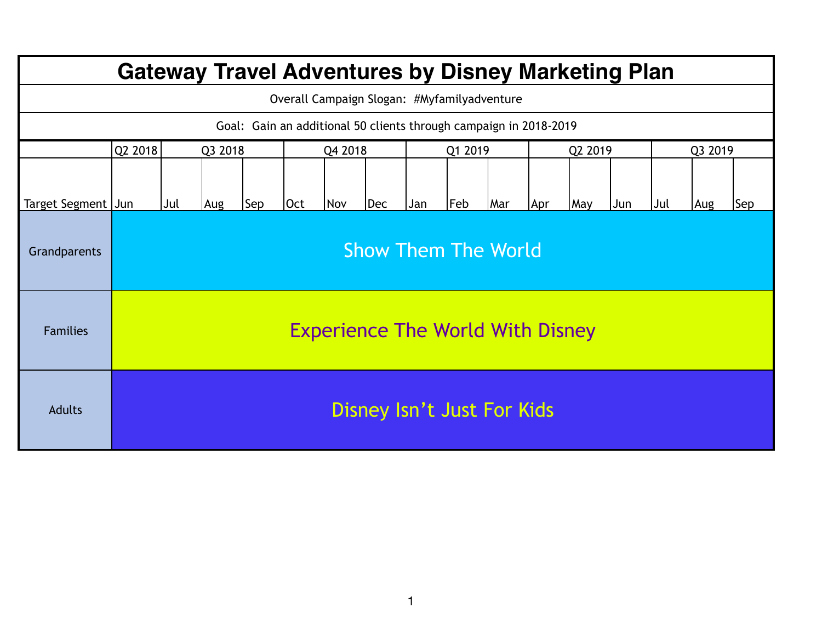| <b>Gateway Travel Adventures by Disney Marketing Plan</b>         |                                         |                            |     |         |     |            |     |         |     |     |         |     |     |         |     |     |
|-------------------------------------------------------------------|-----------------------------------------|----------------------------|-----|---------|-----|------------|-----|---------|-----|-----|---------|-----|-----|---------|-----|-----|
| Overall Campaign Slogan: #Myfamilyadventure                       |                                         |                            |     |         |     |            |     |         |     |     |         |     |     |         |     |     |
| Goal: Gain an additional 50 clients through campaign in 2018-2019 |                                         |                            |     |         |     |            |     |         |     |     |         |     |     |         |     |     |
|                                                                   | Q2 2018<br>Q3 2018                      |                            |     | Q4 2018 |     |            |     | Q1 2019 |     |     | Q2 2019 |     |     | Q3 2019 |     |     |
| Target Segment Jun                                                |                                         | Jul                        | Aug | Sep     | Oct | <b>Nov</b> | Dec | Jan     | Feb | Mar | Apr     | May | Jun | Jul     | Aug | Sep |
| Grandparents                                                      |                                         | <b>Show Them The World</b> |     |         |     |            |     |         |     |     |         |     |     |         |     |     |
| <b>Families</b>                                                   | <b>Experience The World With Disney</b> |                            |     |         |     |            |     |         |     |     |         |     |     |         |     |     |
| <b>Adults</b>                                                     | Disney Isn't Just For Kids              |                            |     |         |     |            |     |         |     |     |         |     |     |         |     |     |